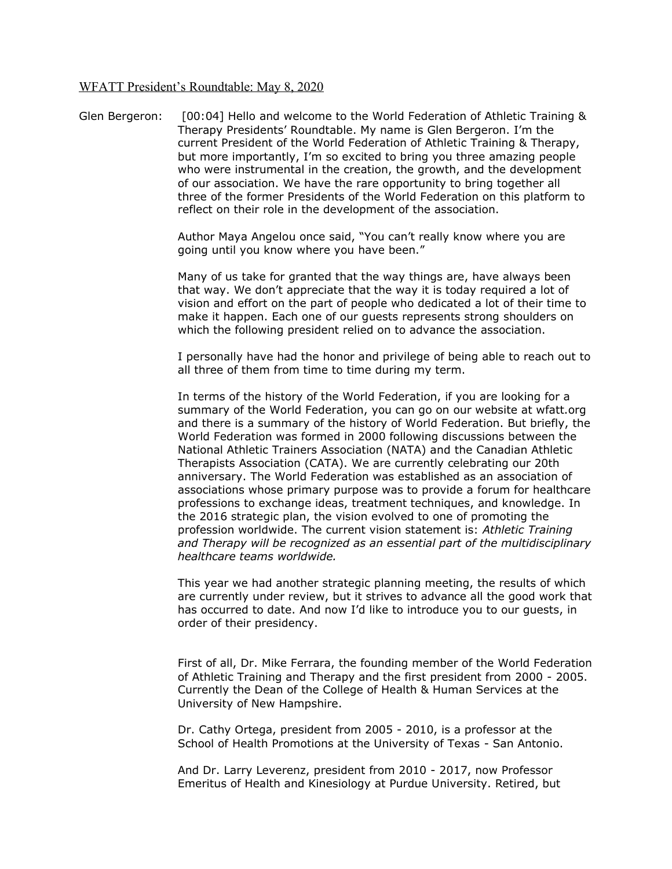## WFATT President's Roundtable: May 8, 2020

Glen Bergeron: [00:04] Hello and welcome to the World Federation of Athletic Training & Therapy Presidents' Roundtable. My name is Glen Bergeron. I'm the current President of the World Federation of Athletic Training & Therapy, but more importantly, I'm so excited to bring you three amazing people who were instrumental in the creation, the growth, and the development of our association. We have the rare opportunity to bring together all three of the former Presidents of the World Federation on this platform to reflect on their role in the development of the association.

> Author Maya Angelou once said, "You can't really know where you are going until you know where you have been."

Many of us take for granted that the way things are, have always been that way. We don't appreciate that the way it is today required a lot of vision and effort on the part of people who dedicated a lot of their time to make it happen. Each one of our guests represents strong shoulders on which the following president relied on to advance the association.

I personally have had the honor and privilege of being able to reach out to all three of them from time to time during my term.

In terms of the history of the World Federation, if you are looking for a summary of the World Federation, you can go on our website at wfatt.org and there is a summary of the history of World Federation. But briefly, the World Federation was formed in 2000 following discussions between the National Athletic Trainers Association (NATA) and the Canadian Athletic Therapists Association (CATA). We are currently celebrating our 20th anniversary. The World Federation was established as an association of associations whose primary purpose was to provide a forum for healthcare professions to exchange ideas, treatment techniques, and knowledge. In the 2016 strategic plan, the vision evolved to one of promoting the profession worldwide. The current vision statement is: *Athletic Training and Therapy will be recognized as an essential part of the multidisciplinary healthcare teams worldwide.*

This year we had another strategic planning meeting, the results of which are currently under review, but it strives to advance all the good work that has occurred to date. And now I'd like to introduce you to our guests, in order of their presidency.

First of all, Dr. Mike Ferrara, the founding member of the World Federation of Athletic Training and Therapy and the first president from 2000 - 2005. Currently the Dean of the College of Health & Human Services at the University of New Hampshire.

Dr. Cathy Ortega, president from 2005 - 2010, is a professor at the School of Health Promotions at the University of Texas - San Antonio.

And Dr. Larry Leverenz, president from 2010 - 2017, now Professor Emeritus of Health and Kinesiology at Purdue University. Retired, but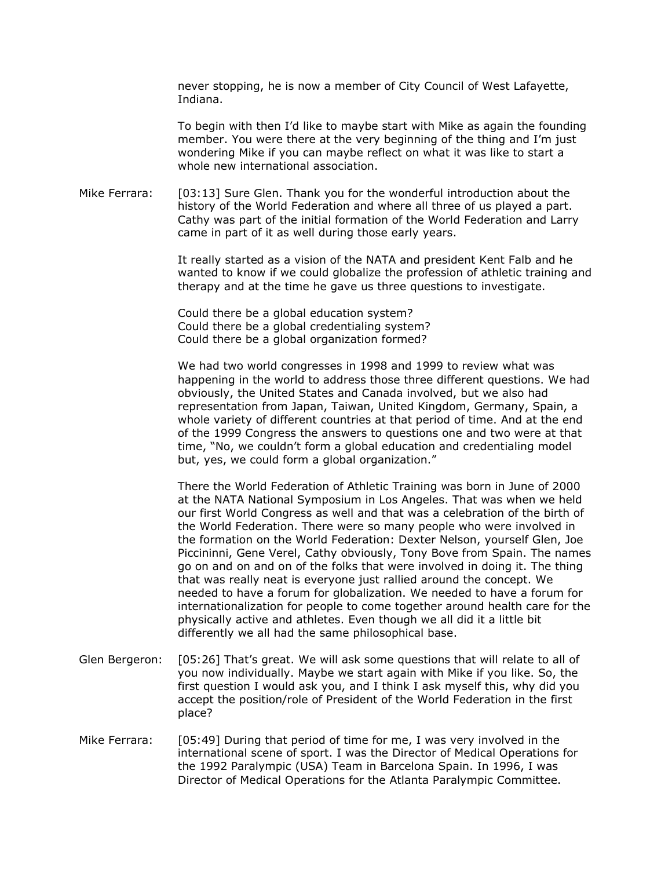never stopping, he is now a member of City Council of West Lafayette, Indiana.

To begin with then I'd like to maybe start with Mike as again the founding member. You were there at the very beginning of the thing and I'm just wondering Mike if you can maybe reflect on what it was like to start a whole new international association.

Mike Ferrara: [03:13] Sure Glen. Thank you for the wonderful introduction about the history of the World Federation and where all three of us played a part. Cathy was part of the initial formation of the World Federation and Larry came in part of it as well during those early years.

> It really started as a vision of the NATA and president Kent Falb and he wanted to know if we could globalize the profession of athletic training and therapy and at the time he gave us three questions to investigate.

Could there be a global education system? Could there be a global credentialing system? Could there be a global organization formed?

We had two world congresses in 1998 and 1999 to review what was happening in the world to address those three different questions. We had obviously, the United States and Canada involved, but we also had representation from Japan, Taiwan, United Kingdom, Germany, Spain, a whole variety of different countries at that period of time. And at the end of the 1999 Congress the answers to questions one and two were at that time, "No, we couldn't form a global education and credentialing model but, yes, we could form a global organization."

There the World Federation of Athletic Training was born in June of 2000 at the NATA National Symposium in Los Angeles. That was when we held our first World Congress as well and that was a celebration of the birth of the World Federation. There were so many people who were involved in the formation on the World Federation: Dexter Nelson, yourself Glen, Joe Piccininni, Gene Verel, Cathy obviously, Tony Bove from Spain. The names go on and on and on of the folks that were involved in doing it. The thing that was really neat is everyone just rallied around the concept. We needed to have a forum for globalization. We needed to have a forum for internationalization for people to come together around health care for the physically active and athletes. Even though we all did it a little bit differently we all had the same philosophical base.

- Glen Bergeron: [05:26] That's great. We will ask some questions that will relate to all of you now individually. Maybe we start again with Mike if you like. So, the first question I would ask you, and I think I ask myself this, why did you accept the position/role of President of the World Federation in the first place?
- Mike Ferrara: [05:49] During that period of time for me, I was very involved in the international scene of sport. I was the Director of Medical Operations for the 1992 Paralympic (USA) Team in Barcelona Spain. In 1996, I was Director of Medical Operations for the Atlanta Paralympic Committee.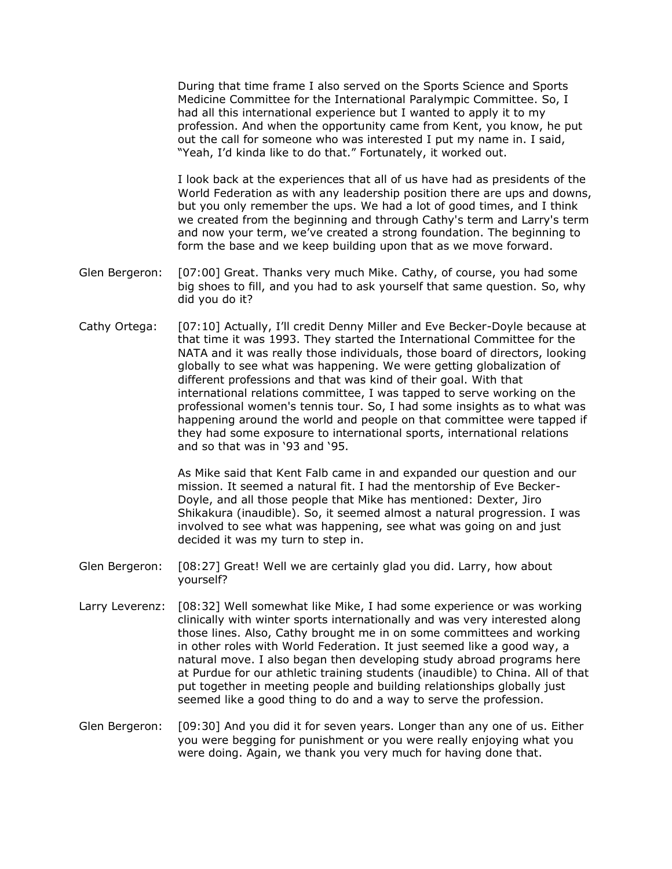During that time frame I also served on the Sports Science and Sports Medicine Committee for the International Paralympic Committee. So, I had all this international experience but I wanted to apply it to my profession. And when the opportunity came from Kent, you know, he put out the call for someone who was interested I put my name in. I said, "Yeah, I'd kinda like to do that." Fortunately, it worked out.

I look back at the experiences that all of us have had as presidents of the World Federation as with any leadership position there are ups and downs, but you only remember the ups. We had a lot of good times, and I think we created from the beginning and through Cathy's term and Larry's term and now your term, we've created a strong foundation. The beginning to form the base and we keep building upon that as we move forward.

- Glen Bergeron: [07:00] Great. Thanks very much Mike. Cathy, of course, you had some big shoes to fill, and you had to ask yourself that same question. So, why did you do it?
- Cathy Ortega: [07:10] Actually, I'll credit Denny Miller and Eve Becker-Doyle because at that time it was 1993. They started the International Committee for the NATA and it was really those individuals, those board of directors, looking globally to see what was happening. We were getting globalization of different professions and that was kind of their goal. With that international relations committee, I was tapped to serve working on the professional women's tennis tour. So, I had some insights as to what was happening around the world and people on that committee were tapped if they had some exposure to international sports, international relations and so that was in '93 and '95.

As Mike said that Kent Falb came in and expanded our question and our mission. It seemed a natural fit. I had the mentorship of Eve Becker-Doyle, and all those people that Mike has mentioned: Dexter, Jiro Shikakura (inaudible). So, it seemed almost a natural progression. I was involved to see what was happening, see what was going on and just decided it was my turn to step in.

- Glen Bergeron: [08:27] Great! Well we are certainly glad you did. Larry, how about yourself?
- Larry Leverenz: [08:32] Well somewhat like Mike, I had some experience or was working clinically with winter sports internationally and was very interested along those lines. Also, Cathy brought me in on some committees and working in other roles with World Federation. It just seemed like a good way, a natural move. I also began then developing study abroad programs here at Purdue for our athletic training students (inaudible) to China. All of that put together in meeting people and building relationships globally just seemed like a good thing to do and a way to serve the profession.
- Glen Bergeron: [09:30] And you did it for seven years. Longer than any one of us. Either you were begging for punishment or you were really enjoying what you were doing. Again, we thank you very much for having done that.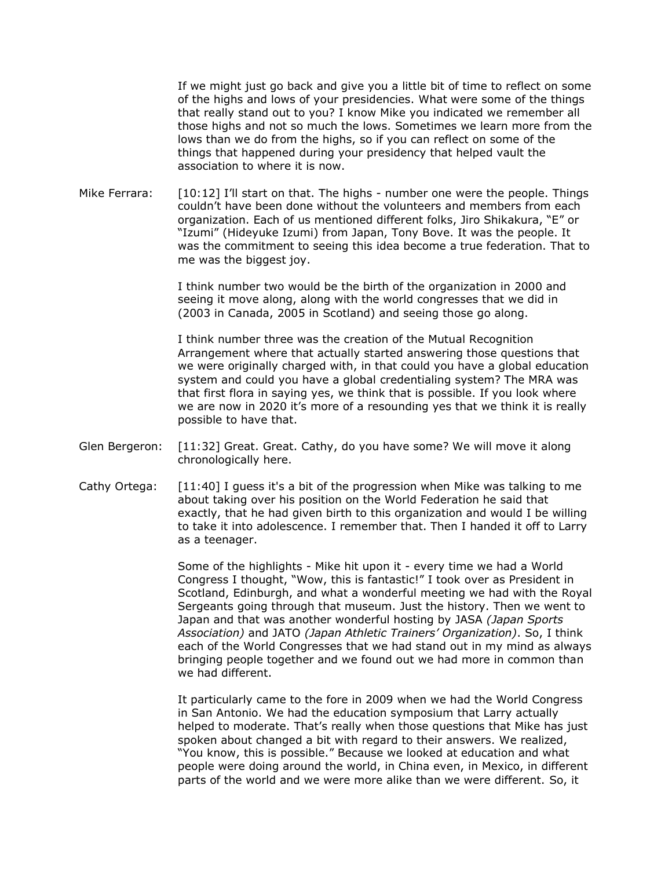If we might just go back and give you a little bit of time to reflect on some of the highs and lows of your presidencies. What were some of the things that really stand out to you? I know Mike you indicated we remember all those highs and not so much the lows. Sometimes we learn more from the lows than we do from the highs, so if you can reflect on some of the things that happened during your presidency that helped vault the association to where it is now.

Mike Ferrara: [10:12] I'll start on that. The highs - number one were the people. Things couldn't have been done without the volunteers and members from each organization. Each of us mentioned different folks, Jiro Shikakura, "E" or "Izumi" (Hideyuke Izumi) from Japan, Tony Bove. It was the people. It was the commitment to seeing this idea become a true federation. That to me was the biggest joy.

> I think number two would be the birth of the organization in 2000 and seeing it move along, along with the world congresses that we did in (2003 in Canada, 2005 in Scotland) and seeing those go along.

I think number three was the creation of the Mutual Recognition Arrangement where that actually started answering those questions that we were originally charged with, in that could you have a global education system and could you have a global credentialing system? The MRA was that first flora in saying yes, we think that is possible. If you look where we are now in 2020 it's more of a resounding yes that we think it is really possible to have that.

- Glen Bergeron: [11:32] Great. Great. Cathy, do you have some? We will move it along chronologically here.
- Cathy Ortega: [11:40] I guess it's a bit of the progression when Mike was talking to me about taking over his position on the World Federation he said that exactly, that he had given birth to this organization and would I be willing to take it into adolescence. I remember that. Then I handed it off to Larry as a teenager.

Some of the highlights - Mike hit upon it - every time we had a World Congress I thought, "Wow, this is fantastic!" I took over as President in Scotland, Edinburgh, and what a wonderful meeting we had with the Royal Sergeants going through that museum. Just the history. Then we went to Japan and that was another wonderful hosting by JASA *(Japan Sports Association)* and JATO *(Japan Athletic Trainers' Organization)*. So, I think each of the World Congresses that we had stand out in my mind as always bringing people together and we found out we had more in common than we had different.

It particularly came to the fore in 2009 when we had the World Congress in San Antonio. We had the education symposium that Larry actually helped to moderate. That's really when those questions that Mike has just spoken about changed a bit with regard to their answers. We realized, "You know, this is possible." Because we looked at education and what people were doing around the world, in China even, in Mexico, in different parts of the world and we were more alike than we were different. So, it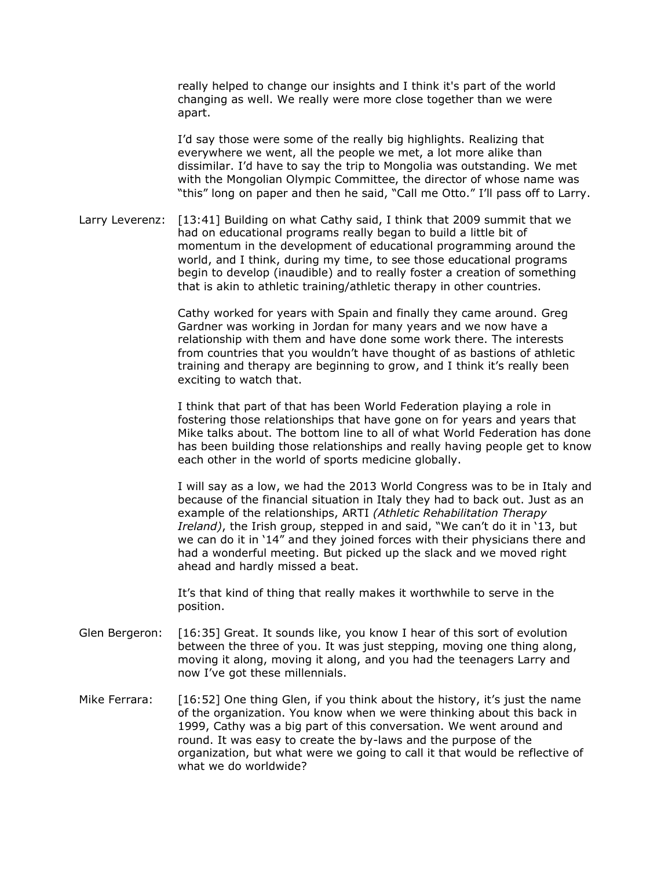really helped to change our insights and I think it's part of the world changing as well. We really were more close together than we were apart.

I'd say those were some of the really big highlights. Realizing that everywhere we went, all the people we met, a lot more alike than dissimilar. I'd have to say the trip to Mongolia was outstanding. We met with the Mongolian Olympic Committee, the director of whose name was "this" long on paper and then he said, "Call me Otto." I'll pass off to Larry.

Larry Leverenz: [13:41] Building on what Cathy said, I think that 2009 summit that we had on educational programs really began to build a little bit of momentum in the development of educational programming around the world, and I think, during my time, to see those educational programs begin to develop (inaudible) and to really foster a creation of something that is akin to athletic training/athletic therapy in other countries.

> Cathy worked for years with Spain and finally they came around. Greg Gardner was working in Jordan for many years and we now have a relationship with them and have done some work there. The interests from countries that you wouldn't have thought of as bastions of athletic training and therapy are beginning to grow, and I think it's really been exciting to watch that.

I think that part of that has been World Federation playing a role in fostering those relationships that have gone on for years and years that Mike talks about. The bottom line to all of what World Federation has done has been building those relationships and really having people get to know each other in the world of sports medicine globally.

I will say as a low, we had the 2013 World Congress was to be in Italy and because of the financial situation in Italy they had to back out. Just as an example of the relationships, ARTI *(Athletic Rehabilitation Therapy Ireland)*, the Irish group, stepped in and said, "We can't do it in '13, but we can do it in '14" and they joined forces with their physicians there and had a wonderful meeting. But picked up the slack and we moved right ahead and hardly missed a beat.

It's that kind of thing that really makes it worthwhile to serve in the position.

- Glen Bergeron: [16:35] Great. It sounds like, you know I hear of this sort of evolution between the three of you. It was just stepping, moving one thing along, moving it along, moving it along, and you had the teenagers Larry and now I've got these millennials.
- Mike Ferrara: [16:52] One thing Glen, if you think about the history, it's just the name of the organization. You know when we were thinking about this back in 1999, Cathy was a big part of this conversation. We went around and round. It was easy to create the by-laws and the purpose of the organization, but what were we going to call it that would be reflective of what we do worldwide?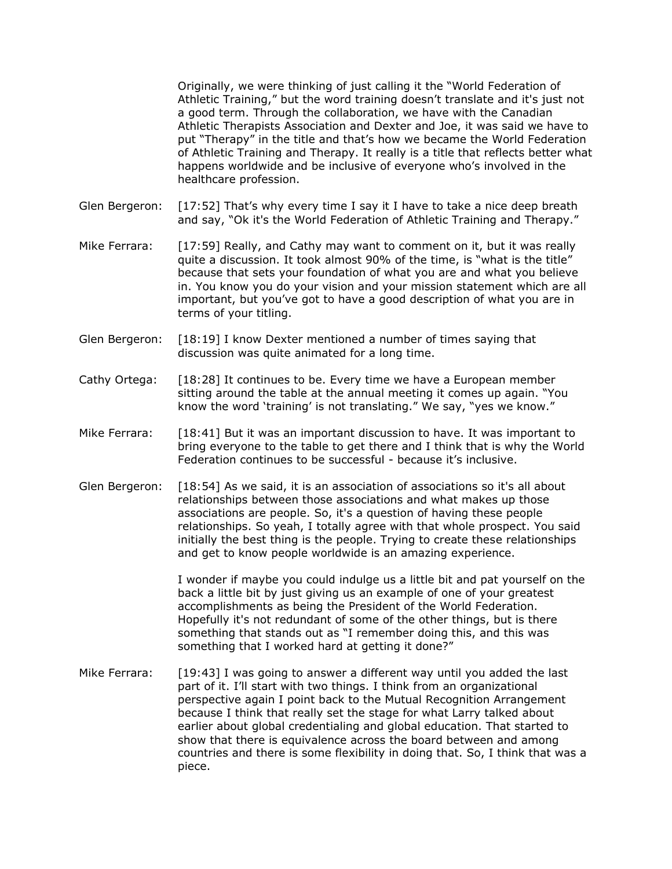Originally, we were thinking of just calling it the "World Federation of Athletic Training," but the word training doesn't translate and it's just not a good term. Through the collaboration, we have with the Canadian Athletic Therapists Association and Dexter and Joe, it was said we have to put "Therapy" in the title and that's how we became the World Federation of Athletic Training and Therapy. It really is a title that reflects better what happens worldwide and be inclusive of everyone who's involved in the healthcare profession.

- Glen Bergeron: [17:52] That's why every time I say it I have to take a nice deep breath and say, "Ok it's the World Federation of Athletic Training and Therapy."
- Mike Ferrara: [17:59] Really, and Cathy may want to comment on it, but it was really quite a discussion. It took almost 90% of the time, is "what is the title" because that sets your foundation of what you are and what you believe in. You know you do your vision and your mission statement which are all important, but you've got to have a good description of what you are in terms of your titling.
- Glen Bergeron: [18:19] I know Dexter mentioned a number of times saying that discussion was quite animated for a long time.
- Cathy Ortega: [18:28] It continues to be. Every time we have a European member sitting around the table at the annual meeting it comes up again. "You know the word 'training' is not translating." We say, "yes we know."
- Mike Ferrara: [18:41] But it was an important discussion to have. It was important to bring everyone to the table to get there and I think that is why the World Federation continues to be successful - because it's inclusive.
- Glen Bergeron: [18:54] As we said, it is an association of associations so it's all about relationships between those associations and what makes up those associations are people. So, it's a question of having these people relationships. So yeah, I totally agree with that whole prospect. You said initially the best thing is the people. Trying to create these relationships and get to know people worldwide is an amazing experience.

I wonder if maybe you could indulge us a little bit and pat yourself on the back a little bit by just giving us an example of one of your greatest accomplishments as being the President of the World Federation. Hopefully it's not redundant of some of the other things, but is there something that stands out as "I remember doing this, and this was something that I worked hard at getting it done?"

Mike Ferrara: [19:43] I was going to answer a different way until you added the last part of it. I'll start with two things. I think from an organizational perspective again I point back to the Mutual Recognition Arrangement because I think that really set the stage for what Larry talked about earlier about global credentialing and global education. That started to show that there is equivalence across the board between and among countries and there is some flexibility in doing that. So, I think that was a piece.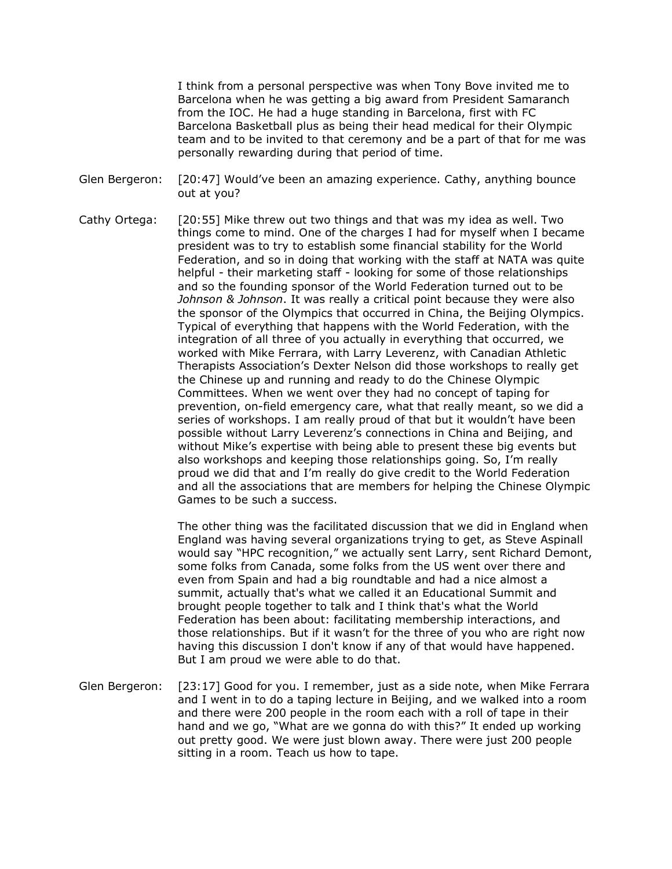I think from a personal perspective was when Tony Bove invited me to Barcelona when he was getting a big award from President Samaranch from the IOC. He had a huge standing in Barcelona, first with FC Barcelona Basketball plus as being their head medical for their Olympic team and to be invited to that ceremony and be a part of that for me was personally rewarding during that period of time.

- Glen Bergeron: [20:47] Would've been an amazing experience. Cathy, anything bounce out at you?
- Cathy Ortega: [20:55] Mike threw out two things and that was my idea as well. Two things come to mind. One of the charges I had for myself when I became president was to try to establish some financial stability for the World Federation, and so in doing that working with the staff at NATA was quite helpful - their marketing staff - looking for some of those relationships and so the founding sponsor of the World Federation turned out to be *Johnson & Johnson*. It was really a critical point because they were also the sponsor of the Olympics that occurred in China, the Beijing Olympics. Typical of everything that happens with the World Federation, with the integration of all three of you actually in everything that occurred, we worked with Mike Ferrara, with Larry Leverenz, with Canadian Athletic Therapists Association's Dexter Nelson did those workshops to really get the Chinese up and running and ready to do the Chinese Olympic Committees. When we went over they had no concept of taping for prevention, on-field emergency care, what that really meant, so we did a series of workshops. I am really proud of that but it wouldn't have been possible without Larry Leverenz's connections in China and Beijing, and without Mike's expertise with being able to present these big events but also workshops and keeping those relationships going. So, I'm really proud we did that and I'm really do give credit to the World Federation and all the associations that are members for helping the Chinese Olympic Games to be such a success.

The other thing was the facilitated discussion that we did in England when England was having several organizations trying to get, as Steve Aspinall would say "HPC recognition," we actually sent Larry, sent Richard Demont, some folks from Canada, some folks from the US went over there and even from Spain and had a big roundtable and had a nice almost a summit, actually that's what we called it an Educational Summit and brought people together to talk and I think that's what the World Federation has been about: facilitating membership interactions, and those relationships. But if it wasn't for the three of you who are right now having this discussion I don't know if any of that would have happened. But I am proud we were able to do that.

Glen Bergeron: [23:17] Good for you. I remember, just as a side note, when Mike Ferrara and I went in to do a taping lecture in Beijing, and we walked into a room and there were 200 people in the room each with a roll of tape in their hand and we go, "What are we gonna do with this?" It ended up working out pretty good. We were just blown away. There were just 200 people sitting in a room. Teach us how to tape.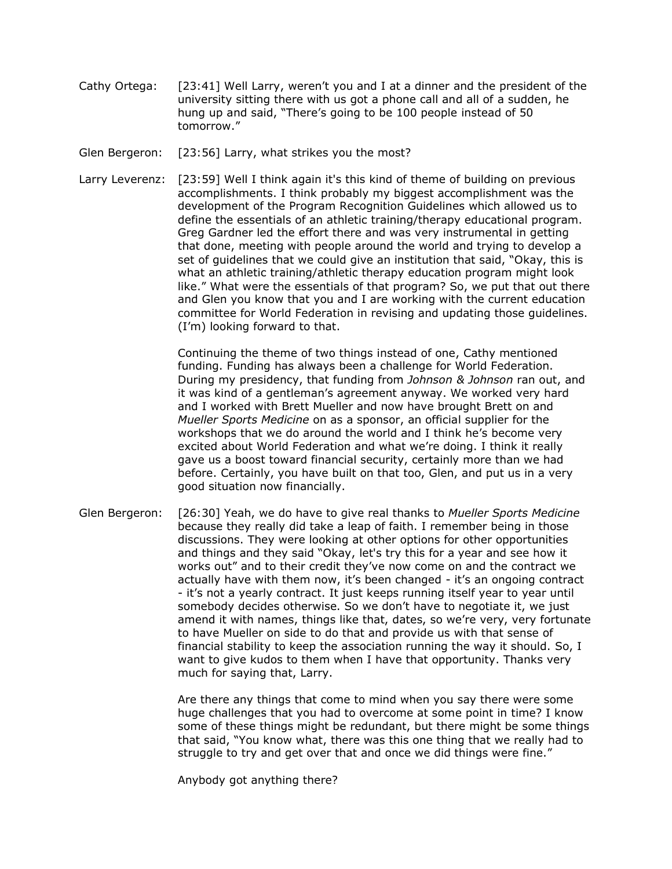- Cathy Ortega: [23:41] Well Larry, weren't you and I at a dinner and the president of the university sitting there with us got a phone call and all of a sudden, he hung up and said, "There's going to be 100 people instead of 50 tomorrow."
- Glen Bergeron: [23:56] Larry, what strikes you the most?
- Larry Leverenz: [23:59] Well I think again it's this kind of theme of building on previous accomplishments. I think probably my biggest accomplishment was the development of the Program Recognition Guidelines which allowed us to define the essentials of an athletic training/therapy educational program. Greg Gardner led the effort there and was very instrumental in getting that done, meeting with people around the world and trying to develop a set of guidelines that we could give an institution that said, "Okay, this is what an athletic training/athletic therapy education program might look like." What were the essentials of that program? So, we put that out there and Glen you know that you and I are working with the current education committee for World Federation in revising and updating those guidelines. (I'm) looking forward to that.

Continuing the theme of two things instead of one, Cathy mentioned funding. Funding has always been a challenge for World Federation. During my presidency, that funding from *Johnson & Johnson* ran out, and it was kind of a gentleman's agreement anyway. We worked very hard and I worked with Brett Mueller and now have brought Brett on and *Mueller Sports Medicine* on as a sponsor, an official supplier for the workshops that we do around the world and I think he's become very excited about World Federation and what we're doing. I think it really gave us a boost toward financial security, certainly more than we had before. Certainly, you have built on that too, Glen, and put us in a very good situation now financially.

Glen Bergeron: [26:30] Yeah, we do have to give real thanks to *Mueller Sports Medicine* because they really did take a leap of faith. I remember being in those discussions. They were looking at other options for other opportunities and things and they said "Okay, let's try this for a year and see how it works out" and to their credit they've now come on and the contract we actually have with them now, it's been changed - it's an ongoing contract - it's not a yearly contract. It just keeps running itself year to year until somebody decides otherwise. So we don't have to negotiate it, we just amend it with names, things like that, dates, so we're very, very fortunate to have Mueller on side to do that and provide us with that sense of financial stability to keep the association running the way it should. So, I want to give kudos to them when I have that opportunity. Thanks very much for saying that, Larry.

> Are there any things that come to mind when you say there were some huge challenges that you had to overcome at some point in time? I know some of these things might be redundant, but there might be some things that said, "You know what, there was this one thing that we really had to struggle to try and get over that and once we did things were fine."

Anybody got anything there?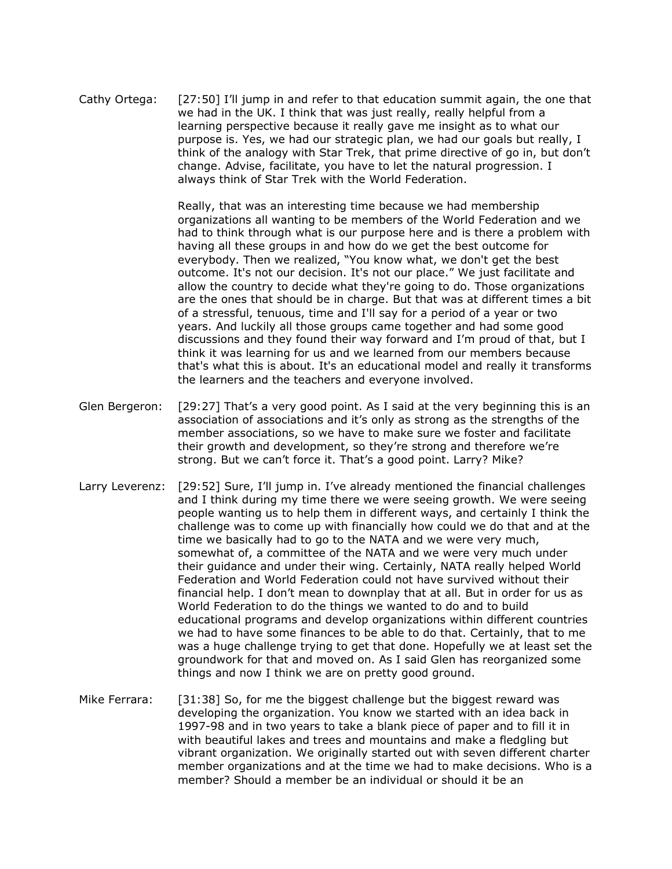Cathy Ortega: [27:50] I'll jump in and refer to that education summit again, the one that we had in the UK. I think that was just really, really helpful from a learning perspective because it really gave me insight as to what our purpose is. Yes, we had our strategic plan, we had our goals but really, I think of the analogy with Star Trek, that prime directive of go in, but don't change. Advise, facilitate, you have to let the natural progression. I always think of Star Trek with the World Federation.

> Really, that was an interesting time because we had membership organizations all wanting to be members of the World Federation and we had to think through what is our purpose here and is there a problem with having all these groups in and how do we get the best outcome for everybody. Then we realized, "You know what, we don't get the best outcome. It's not our decision. It's not our place." We just facilitate and allow the country to decide what they're going to do. Those organizations are the ones that should be in charge. But that was at different times a bit of a stressful, tenuous, time and I'll say for a period of a year or two years. And luckily all those groups came together and had some good discussions and they found their way forward and I'm proud of that, but I think it was learning for us and we learned from our members because that's what this is about. It's an educational model and really it transforms the learners and the teachers and everyone involved.

- Glen Bergeron: [29:27] That's a very good point. As I said at the very beginning this is an association of associations and it's only as strong as the strengths of the member associations, so we have to make sure we foster and facilitate their growth and development, so they're strong and therefore we're strong. But we can't force it. That's a good point. Larry? Mike?
- Larry Leverenz: [29:52] Sure, I'll jump in. I've already mentioned the financial challenges and I think during my time there we were seeing growth. We were seeing people wanting us to help them in different ways, and certainly I think the challenge was to come up with financially how could we do that and at the time we basically had to go to the NATA and we were very much, somewhat of, a committee of the NATA and we were very much under their guidance and under their wing. Certainly, NATA really helped World Federation and World Federation could not have survived without their financial help. I don't mean to downplay that at all. But in order for us as World Federation to do the things we wanted to do and to build educational programs and develop organizations within different countries we had to have some finances to be able to do that. Certainly, that to me was a huge challenge trying to get that done. Hopefully we at least set the groundwork for that and moved on. As I said Glen has reorganized some things and now I think we are on pretty good ground.
- Mike Ferrara: [31:38] So, for me the biggest challenge but the biggest reward was developing the organization. You know we started with an idea back in 1997-98 and in two years to take a blank piece of paper and to fill it in with beautiful lakes and trees and mountains and make a fledgling but vibrant organization. We originally started out with seven different charter member organizations and at the time we had to make decisions. Who is a member? Should a member be an individual or should it be an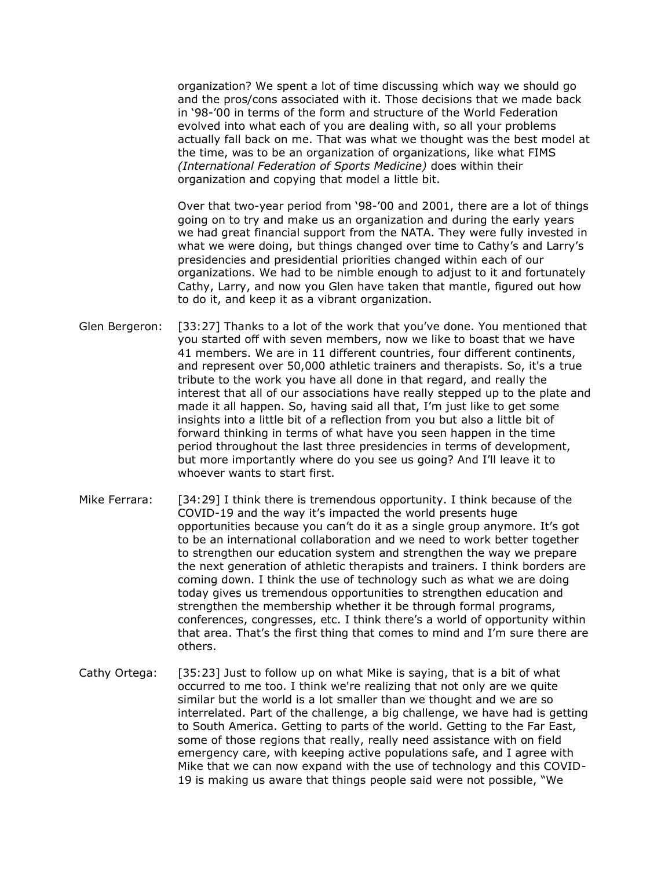organization? We spent a lot of time discussing which way we should go and the pros/cons associated with it. Those decisions that we made back in '98-'00 in terms of the form and structure of the World Federation evolved into what each of you are dealing with, so all your problems actually fall back on me. That was what we thought was the best model at the time, was to be an organization of organizations, like what FIMS *(International Federation of Sports Medicine)* does within their organization and copying that model a little bit.

Over that two-year period from '98-'00 and 2001, there are a lot of things going on to try and make us an organization and during the early years we had great financial support from the NATA. They were fully invested in what we were doing, but things changed over time to Cathy's and Larry's presidencies and presidential priorities changed within each of our organizations. We had to be nimble enough to adjust to it and fortunately Cathy, Larry, and now you Glen have taken that mantle, figured out how to do it, and keep it as a vibrant organization.

- Glen Bergeron: [33:27] Thanks to a lot of the work that you've done. You mentioned that you started off with seven members, now we like to boast that we have 41 members. We are in 11 different countries, four different continents, and represent over 50,000 athletic trainers and therapists. So, it's a true tribute to the work you have all done in that regard, and really the interest that all of our associations have really stepped up to the plate and made it all happen. So, having said all that, I'm just like to get some insights into a little bit of a reflection from you but also a little bit of forward thinking in terms of what have you seen happen in the time period throughout the last three presidencies in terms of development, but more importantly where do you see us going? And I'll leave it to whoever wants to start first.
- Mike Ferrara: [34:29] I think there is tremendous opportunity. I think because of the COVID-19 and the way it's impacted the world presents huge opportunities because you can't do it as a single group anymore. It's got to be an international collaboration and we need to work better together to strengthen our education system and strengthen the way we prepare the next generation of athletic therapists and trainers. I think borders are coming down. I think the use of technology such as what we are doing today gives us tremendous opportunities to strengthen education and strengthen the membership whether it be through formal programs, conferences, congresses, etc. I think there's a world of opportunity within that area. That's the first thing that comes to mind and I'm sure there are others.
- Cathy Ortega: [35:23] Just to follow up on what Mike is saying, that is a bit of what occurred to me too. I think we're realizing that not only are we quite similar but the world is a lot smaller than we thought and we are so interrelated. Part of the challenge, a big challenge, we have had is getting to South America. Getting to parts of the world. Getting to the Far East, some of those regions that really, really need assistance with on field emergency care, with keeping active populations safe, and I agree with Mike that we can now expand with the use of technology and this COVID-19 is making us aware that things people said were not possible, "We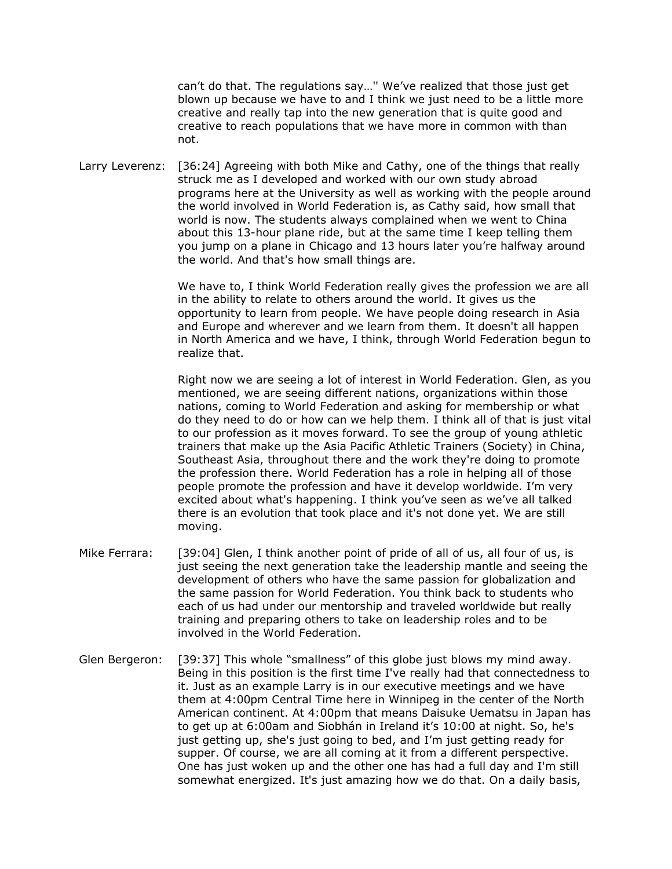can't do that. The regulations say…'' We've realized that those just get blown up because we have to and I think we just need to be a little more creative and really tap into the new generation that is quite good and creative to reach populations that we have more in common with than not.

Larry Leverenz: [36:24] Agreeing with both Mike and Cathy, one of the things that really struck me as I developed and worked with our own study abroad programs here at the University as well as working with the people around the world involved in World Federation is, as Cathy said, how small that world is now. The students always complained when we went to China about this 13-hour plane ride, but at the same time I keep telling them you jump on a plane in Chicago and 13 hours later you're halfway around the world. And that's how small things are.

> We have to, I think World Federation really gives the profession we are all in the ability to relate to others around the world. It gives us the opportunity to learn from people. We have people doing research in Asia and Europe and wherever and we learn from them. It doesn't all happen in North America and we have, I think, through World Federation begun to realize that.

> Right now we are seeing a lot of interest in World Federation. Glen, as you mentioned, we are seeing different nations, organizations within those nations, coming to World Federation and asking for membership or what do they need to do or how can we help them. I think all of that is just vital to our profession as it moves forward. To see the group of young athletic trainers that make up the Asia Pacific Athletic Trainers (Society) in China, Southeast Asia, throughout there and the work they're doing to promote the profession there. World Federation has a role in helping all of those people promote the profession and have it develop worldwide. I'm very excited about what's happening. I think you've seen as we've all talked there is an evolution that took place and it's not done yet. We are still moving.

- Mike Ferrara: [39:04] Glen, I think another point of pride of all of us, all four of us, is just seeing the next generation take the leadership mantle and seeing the development of others who have the same passion for globalization and the same passion for World Federation. You think back to students who each of us had under our mentorship and traveled worldwide but really training and preparing others to take on leadership roles and to be involved in the World Federation.
- Glen Bergeron: [39:37] This whole "smallness" of this globe just blows my mind away. Being in this position is the first time I've really had that connectedness to it. Just as an example Larry is in our executive meetings and we have them at 4:00pm Central Time here in Winnipeg in the center of the North American continent. At 4:00pm that means Daisuke Uematsu in Japan has to get up at 6:00am and Siobhán in Ireland it's 10:00 at night. So, he's just getting up, she's just going to bed, and I'm just getting ready for supper. Of course, we are all coming at it from a different perspective. One has just woken up and the other one has had a full day and I'm still somewhat energized. It's just amazing how we do that. On a daily basis,